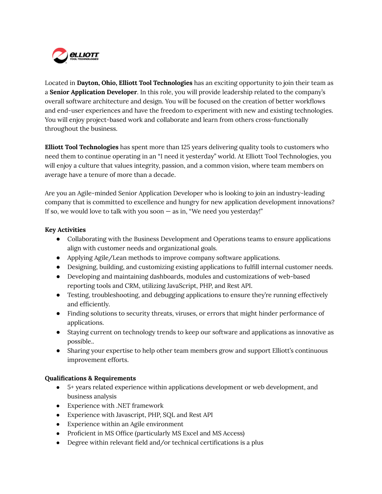

Located in **Dayton, Ohio, Elliott Tool Technologies** has an exciting opportunity to join their team as a **Senior Application Developer**. In this role, you will provide leadership related to the company's overall software architecture and design. You will be focused on the creation of better workflows and end-user experiences and have the freedom to experiment with new and existing technologies. You will enjoy project-based work and collaborate and learn from others cross-functionally throughout the business.

**Elliott Tool Technologies** has spent more than 125 years delivering quality tools to customers who need them to continue operating in an "I need it yesterday" world. At Elliott Tool Technologies, you will enjoy a culture that values integrity, passion, and a common vision, where team members on average have a tenure of more than a decade.

Are you an Agile-minded Senior Application Developer who is looking to join an industry-leading company that is committed to excellence and hungry for new application development innovations? If so, we would love to talk with you soon  $-$  as in, "We need you yesterday!"

## **Key Activities**

- Collaborating with the Business Development and Operations teams to ensure applications align with customer needs and organizational goals.
- Applying Agile/Lean methods to improve company software applications.
- Designing, building, and customizing existing applications to fulfill internal customer needs.
- Developing and maintaining dashboards, modules and customizations of web-based reporting tools and CRM, utilizing JavaScript, PHP, and Rest API.
- Testing, troubleshooting, and debugging applications to ensure they're running effectively and efficiently.
- Finding solutions to security threats, viruses, or errors that might hinder performance of applications.
- Staying current on technology trends to keep our software and applications as innovative as possible..
- Sharing your expertise to help other team members grow and support Elliott's continuous improvement efforts.

## **Qualifications & Requirements**

- 5+ years related experience within applications development or web development, and business analysis
- Experience with .NET framework
- Experience with Javascript, PHP, SQL and Rest API
- Experience within an Agile environment
- Proficient in MS Office (particularly MS Excel and MS Access)
- Degree within relevant field and/or technical certifications is a plus